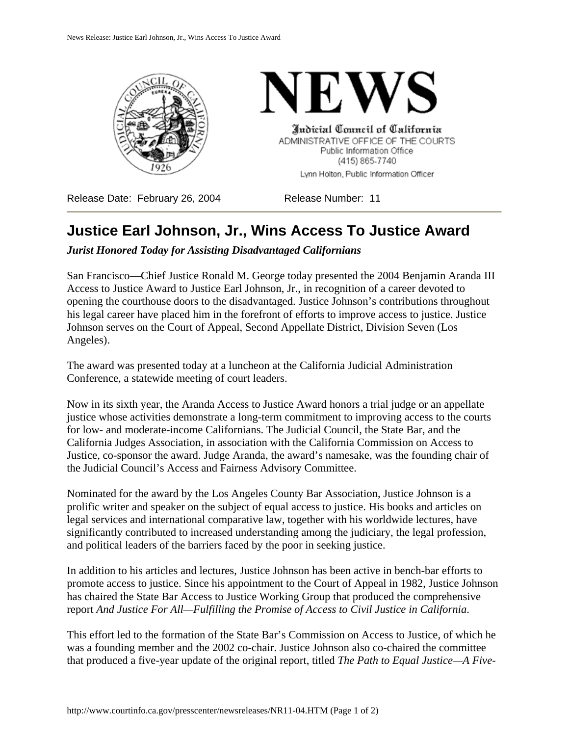



Indicial Conneil of California ADMINISTRATIVE OFFICE OF THE COURTS Public Information Office (415) 865-7740 Lynn Holton, Public Information Officer

Release Date: February 26, 2004 Release Number: 11

## **Justice Earl Johnson, Jr., Wins Access To Justice Award**

*Jurist Honored Today for Assisting Disadvantaged Californians*

San Francisco—Chief Justice Ronald M. George today presented the 2004 Benjamin Aranda III Access to Justice Award to Justice Earl Johnson, Jr., in recognition of a career devoted to opening the courthouse doors to the disadvantaged. Justice Johnson's contributions throughout his legal career have placed him in the forefront of efforts to improve access to justice. Justice Johnson serves on the Court of Appeal, Second Appellate District, Division Seven (Los Angeles).

The award was presented today at a luncheon at the California Judicial Administration Conference, a statewide meeting of court leaders.

Now in its sixth year, the Aranda Access to Justice Award honors a trial judge or an appellate justice whose activities demonstrate a long-term commitment to improving access to the courts for low- and moderate-income Californians. The Judicial Council, the State Bar, and the California Judges Association, in association with the California Commission on Access to Justice, co-sponsor the award. Judge Aranda, the award's namesake, was the founding chair of the Judicial Council's Access and Fairness Advisory Committee.

Nominated for the award by the Los Angeles County Bar Association, Justice Johnson is a prolific writer and speaker on the subject of equal access to justice. His books and articles on legal services and international comparative law, together with his worldwide lectures, have significantly contributed to increased understanding among the judiciary, the legal profession, and political leaders of the barriers faced by the poor in seeking justice.

In addition to his articles and lectures, Justice Johnson has been active in bench-bar efforts to promote access to justice. Since his appointment to the Court of Appeal in 1982, Justice Johnson has chaired the State Bar Access to Justice Working Group that produced the comprehensive report *And Justice For All—Fulfilling the Promise of Access to Civil Justice in California*.

This effort led to the formation of the State Bar's Commission on Access to Justice, of which he was a founding member and the 2002 co-chair. Justice Johnson also co-chaired the committee that produced a five-year update of the original report, titled *The Path to Equal Justice—A Five-*